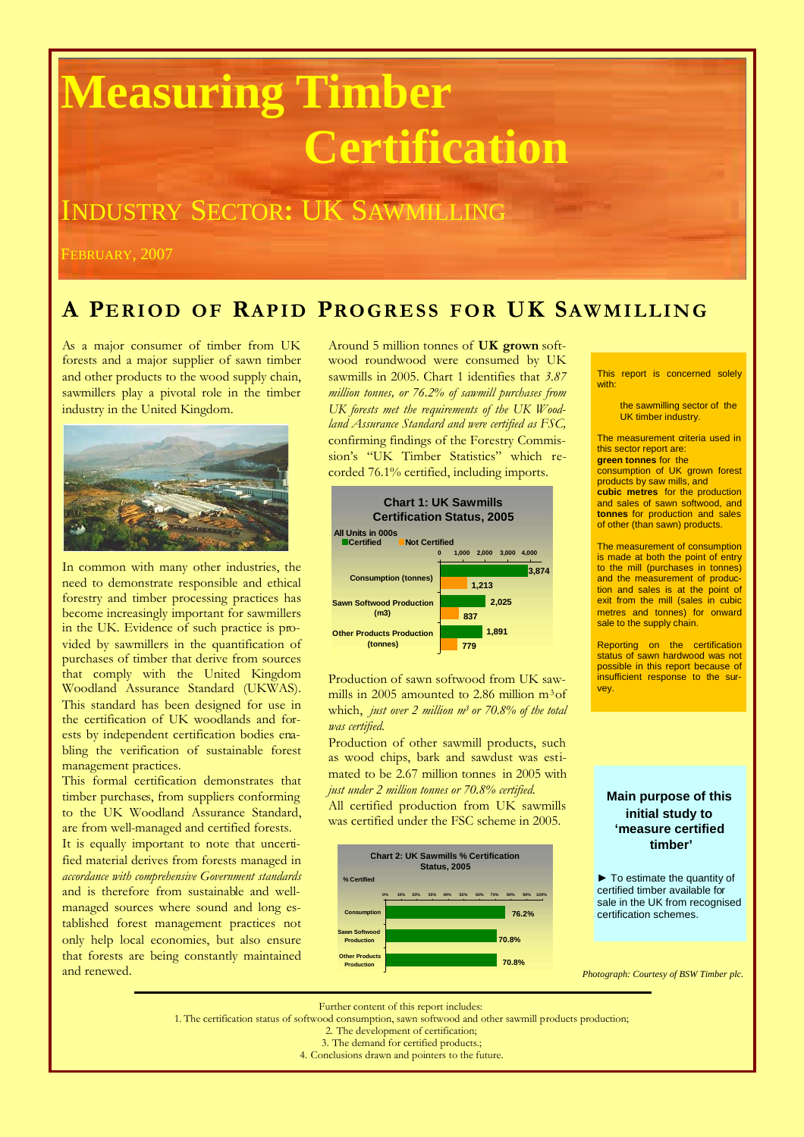# **Measuring Timber Certification**

## INDUSTRY SECTOR**:** UK SAWMILLING

FEBRUARY, 2007

#### **A PERI OD OF RAPID PRO GR E SS F OR UK SAW MI LLI NG**

As a major consumer of timber from UK forests and a major supplier of sawn timber and other products to the wood supply chain, sawmillers play a pivotal role in the timber industry in the United Kingdom.



In common with many other industries, the need to demonstrate responsible and ethical forestry and timber processing practices has become increasingly important for sawmillers in the UK. Evidence of such practice is provided by sawmillers in the quantification of purchases of timber that derive from sources that comply with the United Kingdom Woodland Assurance Standard (UKWAS). This standard has been designed for use in the certification of UK woodlands and forests by independent certification bodies enabling the verification of sustainable forest management practices.

This formal certification demonstrates that timber purchases, from suppliers conforming to the UK Woodland Assurance Standard, are from well-managed and certified forests.

It is equally important to note that uncertified material derives from forests managed in *accordance with comprehensive Government standards* and is therefore from sustainable and wellmanaged sources where sound and long established forest management practices not only help local economies, but also ensure that forests are being constantly maintained and renewed.

Around 5 million tonnes of **UK grown** softwood roundwood were consumed by UK sawmills in 2005. Chart 1 identifies that *3.87 million tonnes, or 76.2% of sawmill purchases from UK forests met the requirements of the UK Woodland Assurance Standard and were certified as FSC,* confirming findings of the Forestry Commission's "UK Timber Statistics" which recorded 76.1% certified, including imports.



Production of sawn softwood from UK sawmills in 2005 amounted to 2.86 million m3of which, *just over 2 million m<sup>3</sup> or 70.8% of the total was certified.*

Production of other sawmill products, such as wood chips, bark and sawdust was estimated to be 2.67 million tonnes in 2005 with *just under 2 million tonnes or 70.8% certified*.

All certified production from UK sawmills was certified under the FSC scheme in 2005.



This report is concerned solely with:

> the sawmilling sector of the UK timber industry.

The measurement criteria used in this sector report are: **green tonnes** for the

consumption of UK grown forest products by saw mills, and **cubic metres** for the production and sales of sawn softwood, and **tonnes** for production and sales of other (than sawn) products.

The measurement of consumption is made at both the point of entry to the mill (purchases in tonnes) and the measurement of production and sales is at the point of exit from the mill (sales in cubic metres and tonnes) for onward sale to the supply chain.

Reporting on the certification status of sawn hardwood was not possible in this report because of insufficient response to the survey.

**Main purpose of this initial study to 'measure certified timber'**

► To estimate the quantity of certified timber available for sale in the UK from recognised certification schemes.

*Photograph: Courtesy of BSW Timber plc.*

Further content of this report includes:

1. The certification status of softwood consumption, sawn softwood and other sawmill products production;

2. The development of certification;

3. The demand for certified products.;

4. Conclusions drawn and pointers to the future.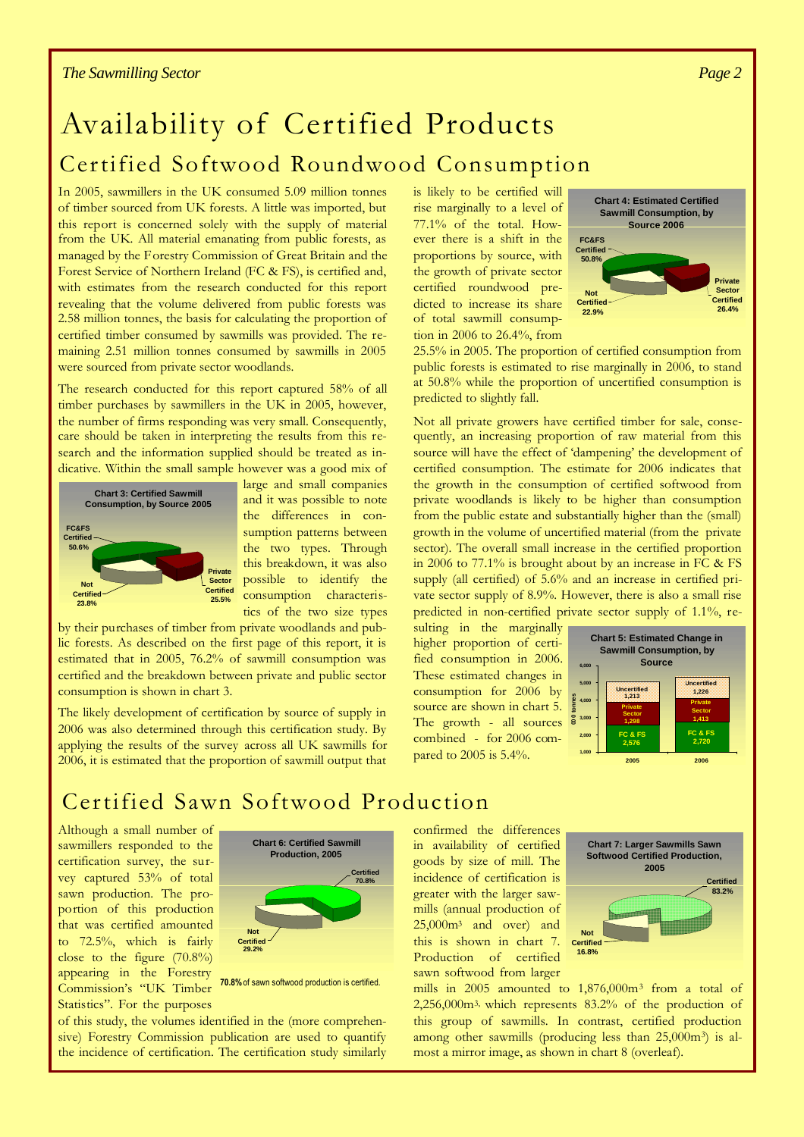## Availability of Certified Products Certified Softwood Roundwood Consumption

In 2005, sawmillers in the UK consumed 5.09 million tonnes of timber sourced from UK forests. A little was imported, but this report is concerned solely with the supply of material from the UK. All material emanating from public forests, as managed by the Forestry Commission of Great Britain and the Forest Service of Northern Ireland (FC & FS), is certified and, with estimates from the research conducted for this report revealing that the volume delivered from public forests was 2.58 million tonnes, the basis for calculating the proportion of certified timber consumed by sawmills was provided. The remaining 2.51 million tonnes consumed by sawmills in 2005 were sourced from private sector woodlands.

The research conducted for this report captured 58% of all timber purchases by sawmillers in the UK in 2005, however, the number of firms responding was very small. Consequently, care should be taken in interpreting the results from this research and the information supplied should be treated as indicative. Within the small sample however was a good mix of



large and small companies and it was possible to note the differences in consumption patterns between the two types. Through this breakdown, it was also possible to identify the consumption characteristics of the two size types

by their purchases of timber from private woodlands and public forests. As described on the first page of this report, it is estimated that in 2005, 76.2% of sawmill consumption was certified and the breakdown between private and public sector consumption is shown in chart 3.

The likely development of certification by source of supply in 2006 was also determined through this certification study. By applying the results of the survey across all UK sawmills for 2006, it is estimated that the proportion of sawmill output that is likely to be certified will rise marginally to a level of 77.1% of the total. However there is a shift in the proportions by source, with the growth of private sector certified roundwood predicted to increase its share of total sawmill consumption in 2006 to 26.4%, from



25.5% in 2005. The proportion of certified consumption from public forests is estimated to rise marginally in 2006, to stand at 50.8% while the proportion of uncertified consumption is predicted to slightly fall.

Not all private growers have certified timber for sale, consequently, an increasing proportion of raw material from this source will have the effect of 'dampening' the development of certified consumption. The estimate for 2006 indicates that the growth in the consumption of certified softwood from private woodlands is likely to be higher than consumption from the public estate and substantially higher than the (small) growth in the volume of uncertified material (from the private sector). The overall small increase in the certified proportion in 2006 to 77.1% is brought about by an increase in FC & FS supply (all certified) of 5.6% and an increase in certified private sector supply of 8.9%. However, there is also a small rise predicted in non-certified private sector supply of 1.1%, re-

sulting in the marginally higher proportion of certified consumption in 2006. These estimated changes in consumption for 2006 by source are shown in chart 5. The growth - all sources combined - for 2006 compared to 2005 is 5.4%.



### Certified Sawn Softwood Production

Although a small number of sawmillers responded to the certification survey, the survey captured 53% of total sawn production. The proportion of this production that was certified amounted to 72.5%, which is fairly close to the figure (70.8%) appearing in the Forestry Commission's "UK Timber Statistics". For the purposes



**70.8%**of sawn softwood production is certified.

of this study, the volumes identified in the (more comprehensive) Forestry Commission publication are used to quantify the incidence of certification. The certification study similarly

confirmed the differences in availability of certified goods by size of mill. The incidence of certification is greater with the larger sawmills (annual production of 25,000m<sup>3</sup> and over) and this is shown in chart 7. Production of certified sawn softwood from larger



mills in 2005 amounted to 1,876,000m<sup>3</sup> from a total of 2,256,000m3, which represents 83.2% of the production of this group of sawmills. In contrast, certified production among other sawmills (producing less than 25,000m<sup>3</sup>) is almost a mirror image, as shown in chart 8 (overleaf).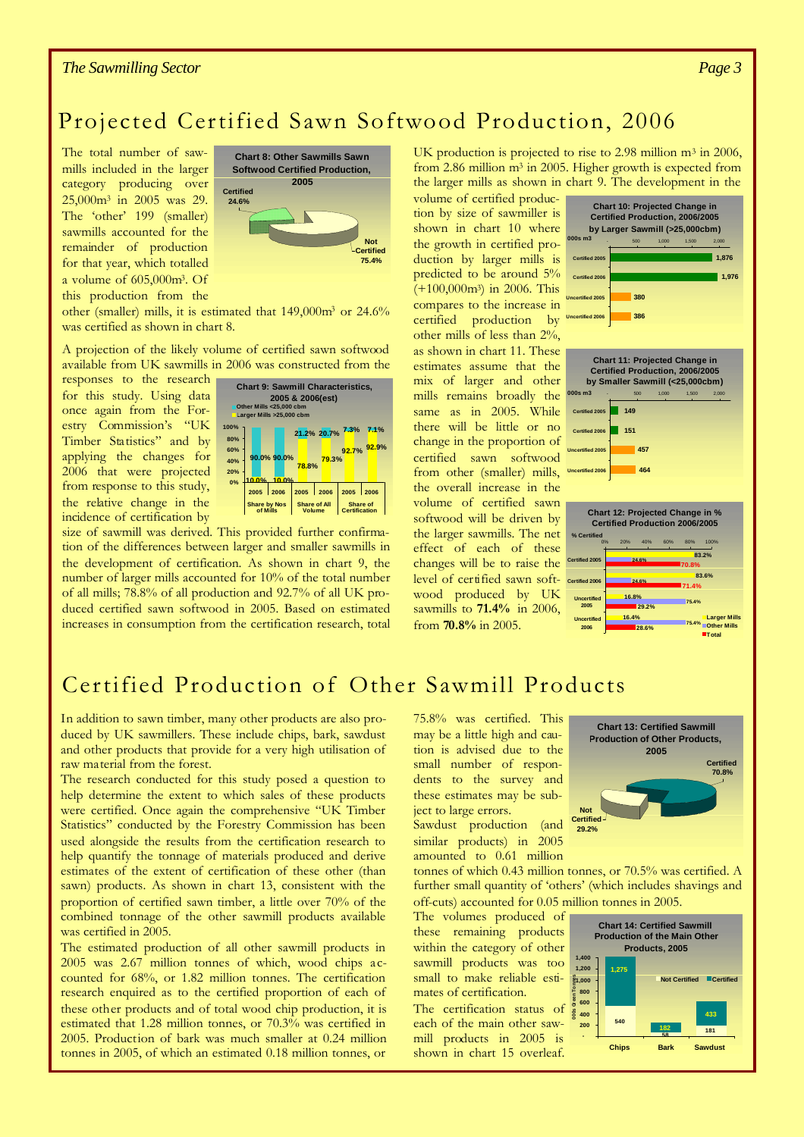#### *The Sawmilling Sector*

#### Projected Certified Sawn Softwood Production, 2006

The total number of sawmills included in the larger category producing over 25,000m<sup>3</sup> in 2005 was 29. The 'other' 199 (smaller) sawmills accounted for the remainder of production for that year, which totalled a volume of 605,000m3. Of this production from the



other (smaller) mills, it is estimated that 149,000m<sup>3</sup> or 24.6% was certified as shown in chart 8.

A projection of the likely volume of certified sawn softwood available from UK sawmills in 2006 was constructed from the

responses to the research for this study. Using data once again from the Forestry Commission's "UK Timber Statistics" and by applying the changes for 2006 that were projected from response to this study, the relative change in the incidence of certification by



**2006** and Bar Electrication by the Size of sawmill was derived. This provided further confirmation of the differences between larger and smaller sawmills in the development of certification. As shown in chart 9, the number of larger mills accounted for 10% of the total number of all mills; 78.8% of all production and 92.7% of all UK produced certified sawn softwood in 2005. Based on estimated increases in consumption from the certification research, total UK production is projected to rise to 2.98 million m<sup>3</sup> in 2006, from 2.86 million  $m^3$  in 2005. Higher growth is expected from the larger mills as shown in chart 9. The development in the

change in the proportion of **Importion** softwood will be driven by the larger sawmills. The net the overall increase in the volume of certified sawn effect of each of these changes will be to raise the volume of certified production by size of sawmiller is shown in chart 10 where the growth in certified production by larger mills is predicted to be around 5%  $(+100,000$ m<sup>3</sup>) in 2006. This compares to the increase in certified production by other mills of less than 2%, as shown in chart 11. These estimates assume that the mix of larger and other mills remains broadly the same as in 2005. While there will be little or no certified sawn softwood level of certified sawn softwood produced by UK sawmills to **71.4%** in 2006, from **70.8%** in 2005.



#### Certified Production of Other Sawmill Products

In addition to sawn timber, many other products are also produced by UK sawmillers. These include chips, bark, sawdust and other products that provide for a very high utilisation of raw material from the forest.

The research conducted for this study posed a question to help determine the extent to which sales of these products were certified. Once again the comprehensive "UK Timber Statistics" conducted by the Forestry Commission has been used alongside the results from the certification research to help quantify the tonnage of materials produced and derive estimates of the extent of certification of these other (than sawn) products. As shown in chart 13, consistent with the proportion of certified sawn timber, a little over 70% of the combined tonnage of the other sawmill products available was certified in 2005.

The estimated production of all other sawmill products in 2005 was 2.67 million tonnes of which, wood chips accounted for 68%, or 1.82 million tonnes. The certification research enquired as to the certified proportion of each of these other products and of total wood chip production, it is estimated that 1.28 million tonnes, or 70.3% was certified in 2005. Production of bark was much smaller at 0.24 million tonnes in 2005, of which an estimated 0.18 million tonnes, or

75.8% was certified. This may be a little high and caution is advised due to the small number of respondents to the survey and these estimates may be subject to large errors.

Sawdust production (and similar products) in 2005 amounted to 0.61 million

tonnes of which 0.43 million tonnes, or 70.5% was certified. A further small quantity of 'others' (which includes shavings and off-cuts) accounted for 0.05 million tonnes in 2005.

The volumes produced of these remaining products within the category of other sawmill products was too small to make reliable estimates of certification.

The certification status of each of the main other sawmill products in 2005 is shown in chart 15 overleaf.